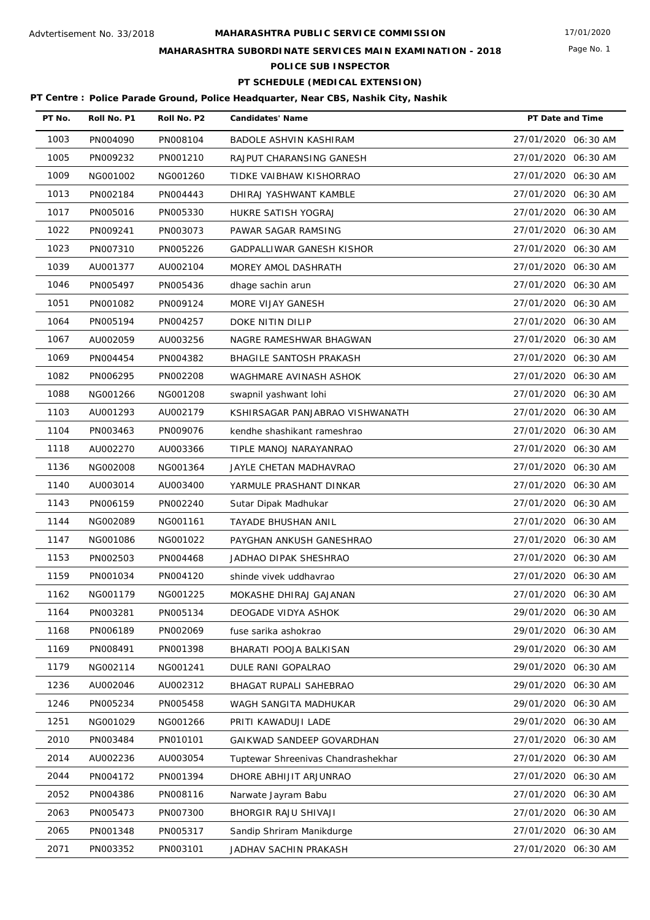# **MAHARASHTRA SUBORDINATE SERVICES MAIN EXAMINATION - 2018**

**POLICE SUB INSPECTOR**

# **PT SCHEDULE (MEDICAL EXTENSION)**

| PT No. | Roll No. P1 | Roll No. P2 | <b>Candidates' Name</b>            | PT Date and Time    |
|--------|-------------|-------------|------------------------------------|---------------------|
| 1003   | PN004090    | PN008104    | <b>BADOLE ASHVIN KASHIRAM</b>      | 27/01/2020 06:30 AM |
| 1005   | PN009232    | PN001210    | RAJPUT CHARANSING GANESH           | 27/01/2020 06:30 AM |
| 1009   | NG001002    | NG001260    | TIDKE VAIBHAW KISHORRAO            | 27/01/2020 06:30 AM |
| 1013   | PN002184    | PN004443    | DHIRAJ YASHWANT KAMBLE             | 27/01/2020 06:30 AM |
| 1017   | PN005016    | PN005330    | HUKRE SATISH YOGRAJ                | 27/01/2020 06:30 AM |
| 1022   | PN009241    | PN003073    | PAWAR SAGAR RAMSING                | 27/01/2020 06:30 AM |
| 1023   | PN007310    | PN005226    | GADPALLIWAR GANESH KISHOR          | 27/01/2020 06:30 AM |
| 1039   | AU001377    | AU002104    | MOREY AMOL DASHRATH                | 27/01/2020 06:30 AM |
| 1046   | PN005497    | PN005436    | dhage sachin arun                  | 27/01/2020 06:30 AM |
| 1051   | PN001082    | PN009124    | MORE VIJAY GANESH                  | 27/01/2020 06:30 AM |
| 1064   | PN005194    | PN004257    | DOKE NITIN DILIP                   | 27/01/2020 06:30 AM |
| 1067   | AU002059    | AU003256    | NAGRE RAMESHWAR BHAGWAN            | 27/01/2020 06:30 AM |
| 1069   | PN004454    | PN004382    | <b>BHAGILE SANTOSH PRAKASH</b>     | 27/01/2020 06:30 AM |
| 1082   | PN006295    | PN002208    | WAGHMARE AVINASH ASHOK             | 27/01/2020 06:30 AM |
| 1088   | NG001266    | NG001208    | swapnil yashwant lohi              | 27/01/2020 06:30 AM |
| 1103   | AU001293    | AU002179    | KSHIRSAGAR PANJABRAO VISHWANATH    | 27/01/2020 06:30 AM |
| 1104   | PN003463    | PN009076    | kendhe shashikant rameshrao        | 27/01/2020 06:30 AM |
| 1118   | AU002270    | AU003366    | TIPLE MANOJ NARAYANRAO             | 27/01/2020 06:30 AM |
| 1136   | NG002008    | NG001364    | JAYLE CHETAN MADHAVRAO             | 27/01/2020 06:30 AM |
| 1140   | AU003014    | AU003400    | YARMULE PRASHANT DINKAR            | 27/01/2020 06:30 AM |
| 1143   | PN006159    | PN002240    | Sutar Dipak Madhukar               | 27/01/2020 06:30 AM |
| 1144   | NG002089    | NG001161    | TAYADE BHUSHAN ANIL                | 27/01/2020 06:30 AM |
| 1147   | NG001086    | NG001022    | PAYGHAN ANKUSH GANESHRAO           | 27/01/2020 06:30 AM |
| 1153   | PN002503    | PN004468    | JADHAO DIPAK SHESHRAO              | 27/01/2020 06:30 AM |
| 1159   | PN001034    | PN004120    | shinde vivek uddhavrao             | 27/01/2020 06:30 AM |
| 1162   | NG001179    | NG001225    | MOKASHE DHIRAJ GAJANAN             | 27/01/2020 06:30 AM |
| 1164   | PN003281    | PN005134    | DEOGADE VIDYA ASHOK                | 29/01/2020 06:30 AM |
| 1168   | PN006189    | PN002069    | fuse sarika ashokrao               | 29/01/2020 06:30 AM |
| 1169   | PN008491    | PN001398    | BHARATI POOJA BALKISAN             | 29/01/2020 06:30 AM |
| 1179   | NG002114    | NG001241    | DULE RANI GOPALRAO                 | 29/01/2020 06:30 AM |
| 1236   | AU002046    | AU002312    | BHAGAT RUPALI SAHEBRAO             | 29/01/2020 06:30 AM |
| 1246   | PN005234    | PN005458    | WAGH SANGITA MADHUKAR              | 29/01/2020 06:30 AM |
| 1251   | NG001029    | NG001266    | PRITI KAWADUJI LADE                | 29/01/2020 06:30 AM |
| 2010   | PN003484    | PN010101    | GAIKWAD SANDEEP GOVARDHAN          | 27/01/2020 06:30 AM |
| 2014   | AU002236    | AU003054    | Tuptewar Shreenivas Chandrashekhar | 27/01/2020 06:30 AM |
| 2044   | PN004172    | PN001394    | DHORE ABHIJIT ARJUNRAO             | 27/01/2020 06:30 AM |
| 2052   | PN004386    | PN008116    | Narwate Jayram Babu                | 27/01/2020 06:30 AM |
| 2063   | PN005473    | PN007300    | BHORGIR RAJU SHIVAJI               | 27/01/2020 06:30 AM |
| 2065   | PN001348    | PN005317    | Sandip Shriram Manikdurge          | 27/01/2020 06:30 AM |
| 2071   | PN003352    | PN003101    | JADHAV SACHIN PRAKASH              | 27/01/2020 06:30 AM |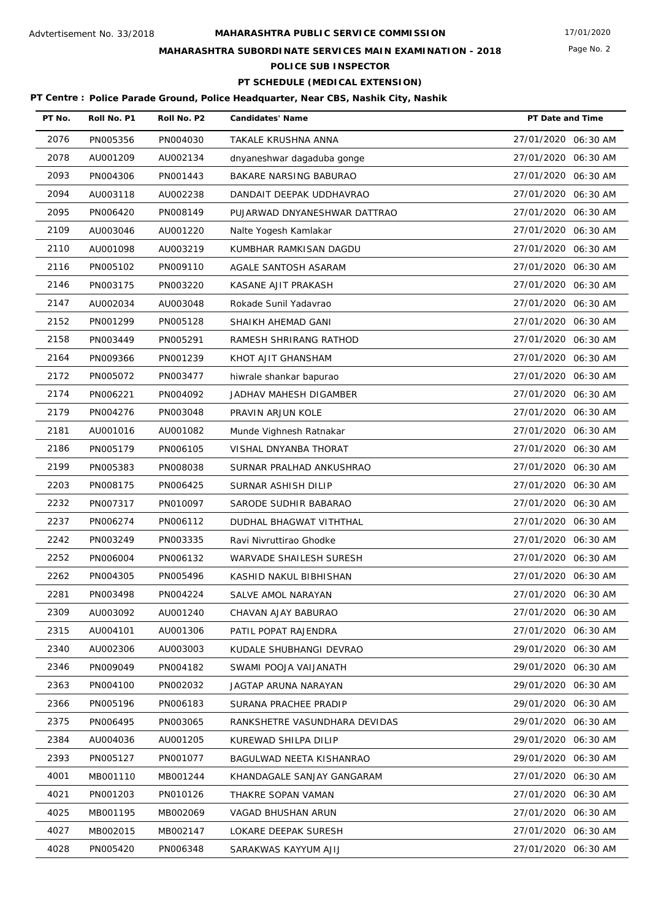# **MAHARASHTRA SUBORDINATE SERVICES MAIN EXAMINATION - 2018**

**POLICE SUB INSPECTOR**

# **PT SCHEDULE (MEDICAL EXTENSION)**

| PT No. | Roll No. P1 | Roll No. P2 | <b>Candidates' Name</b>       | PT Date and Time    |
|--------|-------------|-------------|-------------------------------|---------------------|
| 2076   | PN005356    | PN004030    | TAKALE KRUSHNA ANNA           | 27/01/2020 06:30 AM |
| 2078   | AU001209    | AU002134    | dnyaneshwar dagaduba gonge    | 27/01/2020 06:30 AM |
| 2093   | PN004306    | PN001443    | BAKARE NARSING BABURAO        | 27/01/2020 06:30 AM |
| 2094   | AU003118    | AU002238    | DANDAIT DEEPAK UDDHAVRAO      | 27/01/2020 06:30 AM |
| 2095   | PN006420    | PN008149    | PUJARWAD DNYANESHWAR DATTRAO  | 27/01/2020 06:30 AM |
| 2109   | AU003046    | AU001220    | Nalte Yogesh Kamlakar         | 27/01/2020 06:30 AM |
| 2110   | AU001098    | AU003219    | KUMBHAR RAMKISAN DAGDU        | 27/01/2020 06:30 AM |
| 2116   | PN005102    | PN009110    | AGALE SANTOSH ASARAM          | 27/01/2020 06:30 AM |
| 2146   | PN003175    | PN003220    | KASANE AJIT PRAKASH           | 27/01/2020 06:30 AM |
| 2147   | AU002034    | AU003048    | Rokade Sunil Yadavrao         | 27/01/2020 06:30 AM |
| 2152   | PN001299    | PN005128    | SHAIKH AHEMAD GANI            | 27/01/2020 06:30 AM |
| 2158   | PN003449    | PN005291    | RAMESH SHRIRANG RATHOD        | 27/01/2020 06:30 AM |
| 2164   | PN009366    | PN001239    | KHOT AJIT GHANSHAM            | 27/01/2020 06:30 AM |
| 2172   | PN005072    | PN003477    | hiwrale shankar bapurao       | 27/01/2020 06:30 AM |
| 2174   | PN006221    | PN004092    | JADHAV MAHESH DIGAMBER        | 27/01/2020 06:30 AM |
| 2179   | PN004276    | PN003048    | PRAVIN ARJUN KOLE             | 27/01/2020 06:30 AM |
| 2181   | AU001016    | AU001082    | Munde Vighnesh Ratnakar       | 27/01/2020 06:30 AM |
| 2186   | PN005179    | PN006105    | VISHAL DNYANBA THORAT         | 27/01/2020 06:30 AM |
| 2199   | PN005383    | PN008038    | SURNAR PRALHAD ANKUSHRAO      | 27/01/2020 06:30 AM |
| 2203   | PN008175    | PN006425    | SURNAR ASHISH DILIP           | 27/01/2020 06:30 AM |
| 2232   | PN007317    | PN010097    | SARODE SUDHIR BABARAO         | 27/01/2020 06:30 AM |
| 2237   | PN006274    | PN006112    | DUDHAL BHAGWAT VITHTHAL       | 27/01/2020 06:30 AM |
| 2242   | PN003249    | PN003335    | Ravi Nivruttirao Ghodke       | 27/01/2020 06:30 AM |
| 2252   | PN006004    | PN006132    | WARVADE SHAILESH SURESH       | 27/01/2020 06:30 AM |
| 2262   | PN004305    | PN005496    | KASHID NAKUL BIBHISHAN        | 27/01/2020 06:30 AM |
| 2281   | PN003498    | PN004224    | SALVE AMOL NARAYAN            | 27/01/2020 06:30 AM |
| 2309   | AU003092    | AU001240    | CHAVAN AJAY BABURAO           | 27/01/2020 06:30 AM |
| 2315   | AU004101    | AU001306    | PATIL POPAT RAJENDRA          | 27/01/2020 06:30 AM |
| 2340   | AU002306    | AU003003    | KUDALE SHUBHANGI DEVRAO       | 29/01/2020 06:30 AM |
| 2346   | PN009049    | PN004182    | SWAMI POOJA VAIJANATH         | 29/01/2020 06:30 AM |
| 2363   | PN004100    | PN002032    | JAGTAP ARUNA NARAYAN          | 29/01/2020 06:30 AM |
| 2366   | PN005196    | PN006183    | SURANA PRACHEE PRADIP         | 29/01/2020 06:30 AM |
| 2375   | PN006495    | PN003065    | RANKSHETRE VASUNDHARA DEVIDAS | 29/01/2020 06:30 AM |
| 2384   | AU004036    | AU001205    | KUREWAD SHILPA DILIP          | 29/01/2020 06:30 AM |
| 2393   | PN005127    | PN001077    | BAGULWAD NEETA KISHANRAO      | 29/01/2020 06:30 AM |
| 4001   | MB001110    | MB001244    | KHANDAGALE SANJAY GANGARAM    | 27/01/2020 06:30 AM |
| 4021   | PN001203    | PN010126    | THAKRE SOPAN VAMAN            | 27/01/2020 06:30 AM |
| 4025   | MB001195    | MB002069    | VAGAD BHUSHAN ARUN            | 27/01/2020 06:30 AM |
| 4027   | MB002015    | MB002147    | LOKARE DEEPAK SURESH          | 27/01/2020 06:30 AM |
| 4028   | PN005420    | PN006348    | SARAKWAS KAYYUM AJIJ          | 27/01/2020 06:30 AM |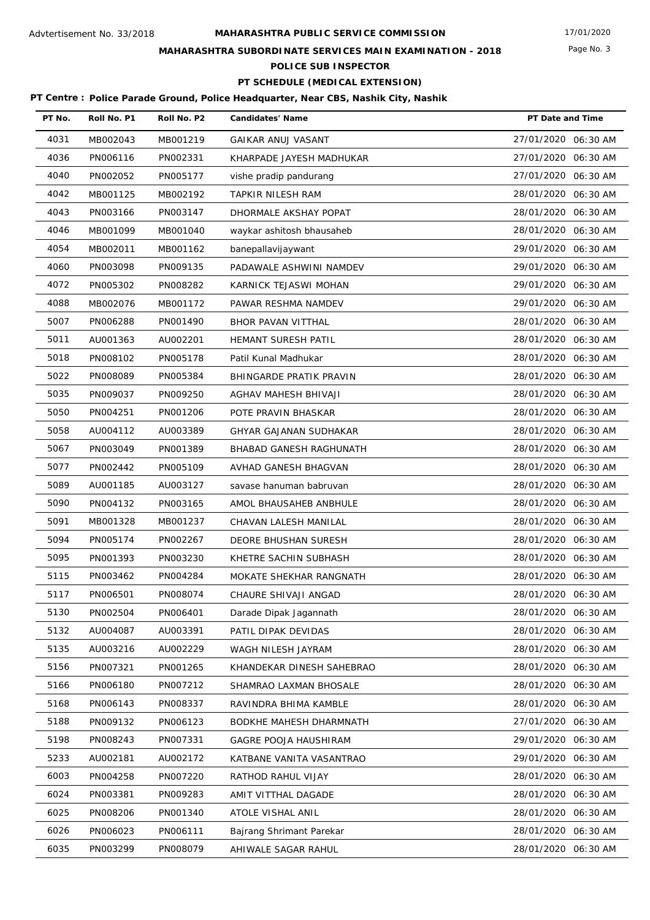# **MAHARASHTRA SUBORDINATE SERVICES MAIN EXAMINATION - 2018**

**POLICE SUB INSPECTOR**

# **PT SCHEDULE (MEDICAL EXTENSION)**

| PT No. | Roll No. P1 | Roll No. P2 | <b>Candidates' Name</b>   | PT Date and Time    |
|--------|-------------|-------------|---------------------------|---------------------|
| 4031   | MB002043    | MB001219    | <b>GAIKAR ANUJ VASANT</b> | 27/01/2020 06:30 AM |
| 4036   | PN006116    | PN002331    | KHARPADE JAYESH MADHUKAR  | 27/01/2020 06:30 AM |
| 4040   | PN002052    | PN005177    | vishe pradip pandurang    | 27/01/2020 06:30 AM |
| 4042   | MB001125    | MB002192    | TAPKIR NILESH RAM         | 28/01/2020 06:30 AM |
| 4043   | PN003166    | PN003147    | DHORMALE AKSHAY POPAT     | 28/01/2020 06:30 AM |
| 4046   | MB001099    | MB001040    | waykar ashitosh bhausaheb | 28/01/2020 06:30 AM |
| 4054   | MB002011    | MB001162    | banepallavijaywant        | 29/01/2020 06:30 AM |
| 4060   | PN003098    | PN009135    | PADAWALE ASHWINI NAMDEV   | 29/01/2020 06:30 AM |
| 4072   | PN005302    | PN008282    | KARNICK TEJASWI MOHAN     | 29/01/2020 06:30 AM |
| 4088   | MB002076    | MB001172    | PAWAR RESHMA NAMDEV       | 29/01/2020 06:30 AM |
| 5007   | PN006288    | PN001490    | BHOR PAVAN VITTHAL        | 28/01/2020 06:30 AM |
| 5011   | AU001363    | AU002201    | HEMANT SURESH PATIL       | 28/01/2020 06:30 AM |
| 5018   | PN008102    | PN005178    | Patil Kunal Madhukar      | 28/01/2020 06:30 AM |
| 5022   | PN008089    | PN005384    | BHINGARDE PRATIK PRAVIN   | 28/01/2020 06:30 AM |
| 5035   | PN009037    | PN009250    | AGHAV MAHESH BHIVAJI      | 28/01/2020 06:30 AM |
| 5050   | PN004251    | PN001206    | POTE PRAVIN BHASKAR       | 28/01/2020 06:30 AM |
| 5058   | AU004112    | AU003389    | GHYAR GAJANAN SUDHAKAR    | 28/01/2020 06:30 AM |
| 5067   | PN003049    | PN001389    | BHABAD GANESH RAGHUNATH   | 28/01/2020 06:30 AM |
| 5077   | PN002442    | PN005109    | AVHAD GANESH BHAGVAN      | 28/01/2020 06:30 AM |
| 5089   | AU001185    | AU003127    | savase hanuman babruvan   | 28/01/2020 06:30 AM |
| 5090   | PN004132    | PN003165    | AMOL BHAUSAHEB ANBHULE    | 28/01/2020 06:30 AM |
| 5091   | MB001328    | MB001237    | CHAVAN LALESH MANILAL     | 28/01/2020 06:30 AM |
| 5094   | PN005174    | PN002267    | DEORE BHUSHAN SURESH      | 28/01/2020 06:30 AM |
| 5095   | PN001393    | PN003230    | KHETRE SACHIN SUBHASH     | 28/01/2020 06:30 AM |
| 5115   | PN003462    | PN004284    | MOKATE SHEKHAR RANGNATH   | 28/01/2020 06:30 AM |
| 5117   | PN006501    | PN008074    | CHAURE SHIVAJI ANGAD      | 28/01/2020 06:30 AM |
| 5130   | PN002504    | PN006401    | Darade Dipak Jagannath    | 28/01/2020 06:30 AM |
| 5132   | AU004087    | AU003391    | PATIL DIPAK DEVIDAS       | 28/01/2020 06:30 AM |
| 5135   | AU003216    | AU002229    | WAGH NILESH JAYRAM        | 28/01/2020 06:30 AM |
| 5156   | PN007321    | PN001265    | KHANDEKAR DINESH SAHEBRAO | 28/01/2020 06:30 AM |
| 5166   | PN006180    | PN007212    | SHAMRAO LAXMAN BHOSALE    | 28/01/2020 06:30 AM |
| 5168   | PN006143    | PN008337    | RAVINDRA BHIMA KAMBLE     | 28/01/2020 06:30 AM |
| 5188   | PN009132    | PN006123    | BODKHE MAHESH DHARMNATH   | 27/01/2020 06:30 AM |
| 5198   | PN008243    | PN007331    | GAGRE POOJA HAUSHIRAM     | 29/01/2020 06:30 AM |
| 5233   | AU002181    | AU002172    | KATBANE VANITA VASANTRAO  | 29/01/2020 06:30 AM |
| 6003   | PN004258    | PN007220    | RATHOD RAHUL VIJAY        | 28/01/2020 06:30 AM |
| 6024   | PN003381    | PN009283    | AMIT VITTHAL DAGADE       | 28/01/2020 06:30 AM |
| 6025   | PN008206    | PN001340    | ATOLE VISHAL ANIL         | 28/01/2020 06:30 AM |
| 6026   | PN006023    | PN006111    | Bajrang Shrimant Parekar  | 28/01/2020 06:30 AM |
| 6035   | PN003299    | PN008079    | AHIWALE SAGAR RAHUL       | 28/01/2020 06:30 AM |